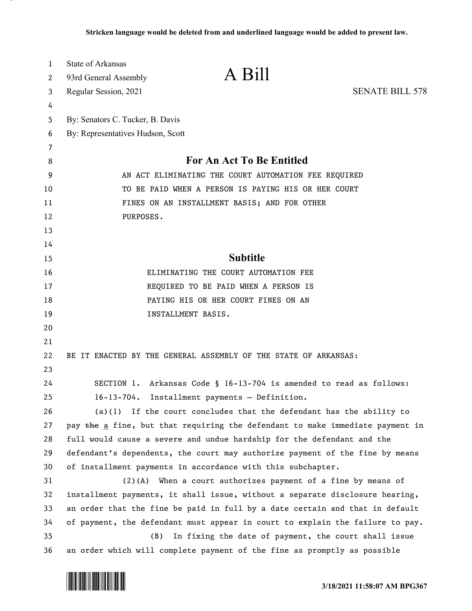| $\mathbf{1}$ | <b>State of Arkansas</b>                             |                                                                               |                        |
|--------------|------------------------------------------------------|-------------------------------------------------------------------------------|------------------------|
| 2            | 93rd General Assembly                                | A Bill                                                                        |                        |
| 3            | Regular Session, 2021                                |                                                                               | <b>SENATE BILL 578</b> |
| 4            |                                                      |                                                                               |                        |
| 5            | By: Senators C. Tucker, B. Davis                     |                                                                               |                        |
| 6            | By: Representatives Hudson, Scott                    |                                                                               |                        |
| 7            |                                                      |                                                                               |                        |
| 8            | For An Act To Be Entitled                            |                                                                               |                        |
| 9            | AN ACT ELIMINATING THE COURT AUTOMATION FEE REQUIRED |                                                                               |                        |
| 10           | TO BE PAID WHEN A PERSON IS PAYING HIS OR HER COURT  |                                                                               |                        |
| 11           | FINES ON AN INSTALLMENT BASIS; AND FOR OTHER         |                                                                               |                        |
| 12           | PURPOSES.                                            |                                                                               |                        |
| 13           |                                                      |                                                                               |                        |
| 14           |                                                      |                                                                               |                        |
| 15           |                                                      | <b>Subtitle</b>                                                               |                        |
| 16           |                                                      | ELIMINATING THE COURT AUTOMATION FEE                                          |                        |
| 17           |                                                      | REQUIRED TO BE PAID WHEN A PERSON IS                                          |                        |
| 18           |                                                      | PAYING HIS OR HER COURT FINES ON AN                                           |                        |
| 19           |                                                      | INSTALLMENT BASIS.                                                            |                        |
| 20           |                                                      |                                                                               |                        |
| 21           |                                                      |                                                                               |                        |
| 22           |                                                      | BE IT ENACTED BY THE GENERAL ASSEMBLY OF THE STATE OF ARKANSAS:               |                        |
| 23           |                                                      |                                                                               |                        |
| 24           |                                                      | SECTION 1. Arkansas Code § 16-13-704 is amended to read as follows:           |                        |
| 25           | $16 - 13 - 704$ .                                    | Installment payments - Definition.                                            |                        |
| 26           |                                                      | $(a)(1)$ If the court concludes that the defendant has the ability to         |                        |
| 27           |                                                      | pay the a fine, but that requiring the defendant to make immediate payment in |                        |
| 28           |                                                      | full would cause a severe and undue hardship for the defendant and the        |                        |
| 29           |                                                      | defendant's dependents, the court may authorize payment of the fine by means  |                        |
| 30           |                                                      | of installment payments in accordance with this subchapter.                   |                        |
| 31           |                                                      | $(2)(A)$ When a court authorizes payment of a fine by means of                |                        |
| 32           |                                                      | installment payments, it shall issue, without a separate disclosure hearing,  |                        |
| 33           |                                                      | an order that the fine be paid in full by a date certain and that in default  |                        |
| 34           |                                                      | of payment, the defendant must appear in court to explain the failure to pay. |                        |
| 35           | (B)                                                  | In fixing the date of payment, the court shall issue                          |                        |
| 36           |                                                      | an order which will complete payment of the fine as promptly as possible      |                        |

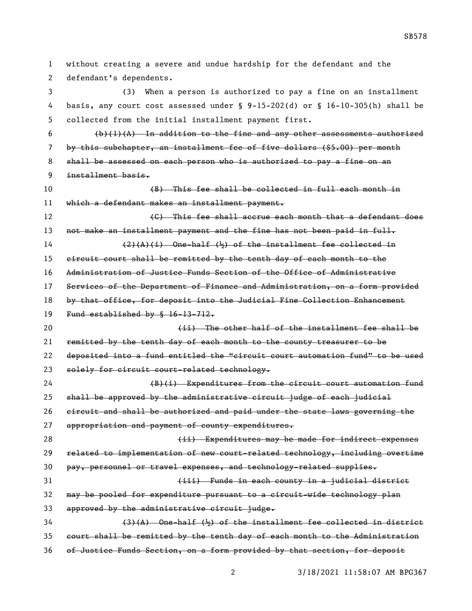without creating a severe and undue hardship for the defendant and the defendant's dependents. (3) When a person is authorized to pay a fine on an installment basis, any court cost assessed under § 9-15-202(d) or § 16-10-305(h) shall be collected from the initial installment payment first. (b)(1)(A) In addition to the fine and any other assessments authorized by this subchapter, an installment fee of five dollars (\$5.00) per month shall be assessed on each person who is authorized to pay a fine on an installment basis. (B) This fee shall be collected in full each month in which a defendant makes an installment payment. **Example 20 Constructs** (C) This fee shall accrue each month that a defendant does 13 not make an installment payment and the fine has not been paid in full. (2)(A)(i) One-half ( $\frac{1}{2}$ ) of the installment fee collected in circuit court shall be remitted by the tenth day of each month to the Administration of Justice Funds Section of the Office of Administrative Services of the Department of Finance and Administration, on a form provided 18 by that office, for deposit into the Judicial Fine Collection Enhancement Fund established by § 16-13-712. (ii) The other half of the installment fee shall be remitted by the tenth day of each month to the county treasurer to be deposited into a fund entitled the "circuit court automation fund" to be used 23 solely for circuit court-related technology. (B)(i) Expenditures from the circuit court automation fund shall be approved by the administrative circuit judge of each judicial circuit and shall be authorized and paid under the state laws governing the appropriation and payment of county expenditures. 28 (ii) Expenditures may be made for indirect expenses related to implementation of new court-related technology, including overtime pay, personnel or travel expenses, and technology-related supplies. (iii) Funds in each county in a judicial district may be pooled for expenditure pursuant to a circuit-wide technology plan approved by the administrative circuit judge.  $(3)$  (3)(A) One-half ( $\frac{1}{2}$ ) of the installment fee collected in district court shall be remitted by the tenth day of each month to the Administration of Justice Funds Section, on a form provided by that section, for deposit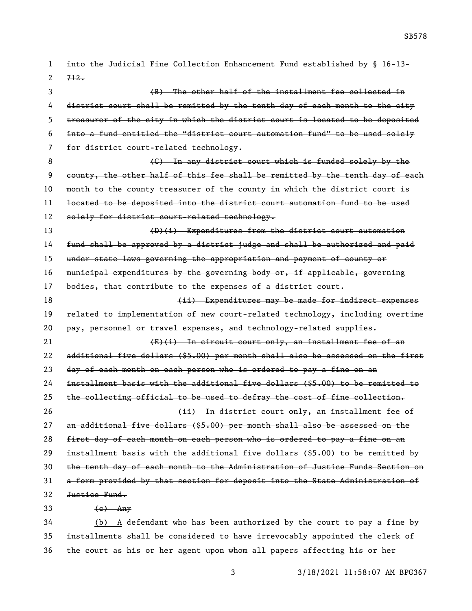into the Judicial Fine Collection Enhancement Fund established by § 16-13- (B) The other half of the installment fee collected in district court shall be remitted by the tenth day of each month to the city treasurer of the city in which the district court is located to be deposited into a fund entitled the "district court automation fund" to be used solely for district court-related technology. 8 (G) In any district court which is funded solely by the county, the other half of this fee shall be remitted by the tenth day of each 10 month to the county treasurer of the county in which the district court is located to be deposited into the district court automation fund to be used 12 solely for district court-related technology. (D)(i) Expenditures from the district court automation

14 fund shall be approved by a district judge and shall be authorized and paid under state laws governing the appropriation and payment of county or municipal expenditures by the governing body or, if applicable, governing 17 bodies, that contribute to the expenses of a district court. **(ii)** Expenditures may be made for indirect expenses related to implementation of new court-related technology, including overtime pay, personnel or travel expenses, and technology-related supplies. 21 (E)(i) In circuit court only, an installment fee of an additional five dollars (\$5.00) per month shall also be assessed on the first day of each month on each person who is ordered to pay a fine on an installment basis with the additional five dollars (\$5.00) to be remitted to

 the collecting official to be used to defray the cost of fine collection. (ii) In district court only, an installment fee of an additional five dollars (\$5.00) per month shall also be assessed on the

 first day of each month on each person who is ordered to pay a fine on an installment basis with the additional five dollars (\$5.00) to be remitted by the tenth day of each month to the Administration of Justice Funds Section on a form provided by that section for deposit into the State Administration of Justice Fund.

 $33 \left( e \right)$  Any

 $2 \frac{712}{7}$ 

 (b) A defendant who has been authorized by the court to pay a fine by installments shall be considered to have irrevocably appointed the clerk of the court as his or her agent upon whom all papers affecting his or her